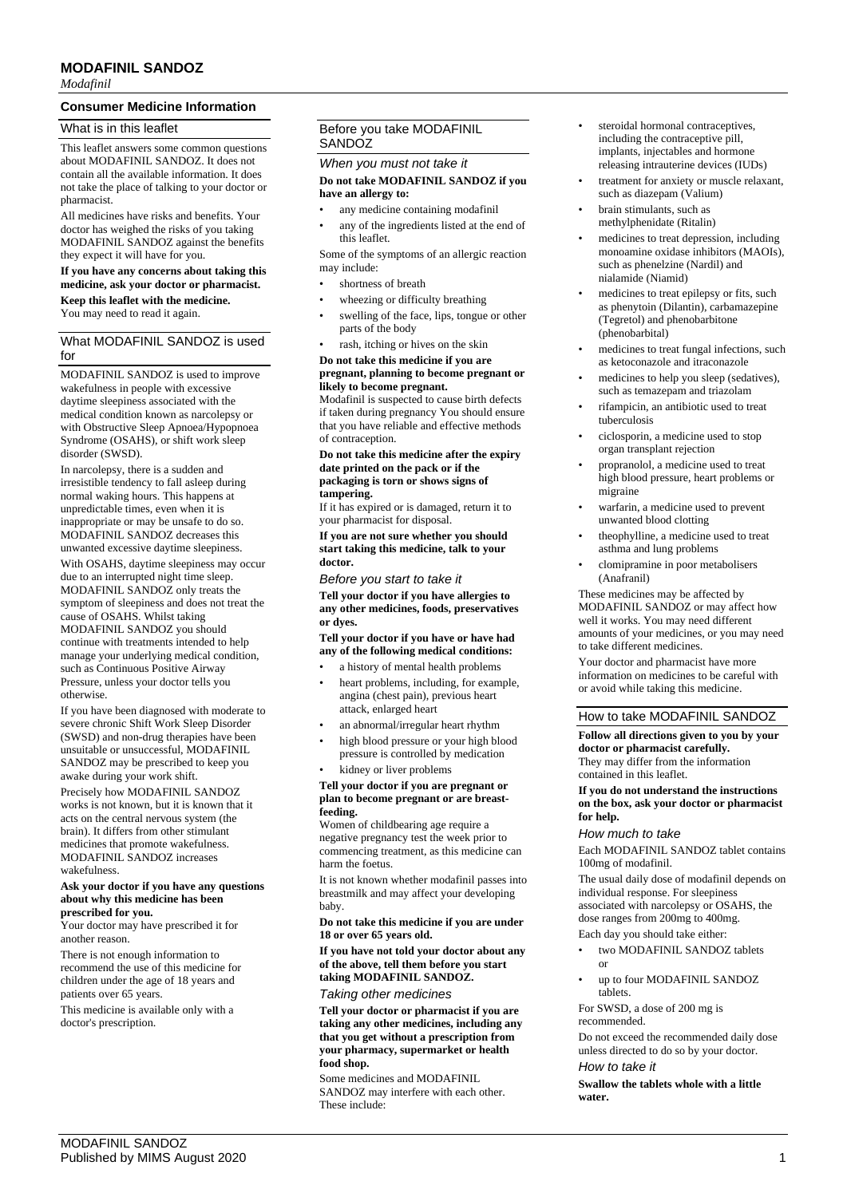# **MODAFINIL SANDOZ**

*Modafinil*

# **Consumer Medicine Information**

# What is in this leaflet

This leaflet answers some common questions about MODAFINIL SANDOZ. It does not contain all the available information. It does not take the place of talking to your doctor or pharmacist.

All medicines have risks and benefits. Your doctor has weighed the risks of you taking MODAFINIL SANDOZ against the benefits they expect it will have for you.

### **If you have any concerns about taking this medicine, ask your doctor or pharmacist. Keep this leaflet with the medicine.**

You may need to read it again.

# What MODAFINIL SANDOZ is used for

MODAFINIL SANDOZ is used to improve wakefulness in people with excessive daytime sleepiness associated with the medical condition known as narcolepsy or with Obstructive Sleep Apnoea/Hypopnoea Syndrome (OSAHS), or shift work sleep disorder (SWSD).

In narcolepsy, there is a sudden and irresistible tendency to fall asleep during normal waking hours. This happens at unpredictable times, even when it is inappropriate or may be unsafe to do so. MODAFINIL SANDOZ decreases this unwanted excessive daytime sleepiness.

With OSAHS, daytime sleepiness may occur due to an interrupted night time sleep. MODAFINIL SANDOZ only treats the symptom of sleepiness and does not treat the cause of OSAHS. Whilst taking MODAFINIL SANDOZ you should continue with treatments intended to help manage your underlying medical condition, such as Continuous Positive Airway Pressure, unless your doctor tells you otherwise.

If you have been diagnosed with moderate to severe chronic Shift Work Sleep Disorder (SWSD) and non-drug therapies have been unsuitable or unsuccessful, MODAFINIL SANDOZ may be prescribed to keep you awake during your work shift.

Precisely how MODAFINIL SANDOZ works is not known, but it is known that it acts on the central nervous system (the brain). It differs from other stimulant medicines that promote wakefulness. MODAFINIL SANDOZ increases wakefulness.

#### **Ask your doctor if you have any questions about why this medicine has been prescribed for you.**

Your doctor may have prescribed it for another reason.

There is not enough information to recommend the use of this medicine for children under the age of 18 years and patients over 65 years.

This medicine is available only with a doctor's prescription.

# Before you take MODAFINIL **SANDOZ**

## *When you must not take it* **Do not take MODAFINIL SANDOZ if you have an allergy to:**

- any medicine containing modafinil
- any of the ingredients listed at the end of this leaflet.

Some of the symptoms of an allergic reaction may include:

- shortness of breath
- wheezing or difficulty breathing
- swelling of the face, lips, tongue or other parts of the body
- rash, itching or hives on the skin

#### **Do not take this medicine if you are pregnant, planning to become pregnant or likely to become pregnant.**

Modafinil is suspected to cause birth defects if taken during pregnancy You should ensure that you have reliable and effective methods of contraception.

#### **Do not take this medicine after the expiry date printed on the pack or if the packaging is torn or shows signs of tampering.**

If it has expired or is damaged, return it to your pharmacist for disposal.

**If you are not sure whether you should start taking this medicine, talk to your doctor.**

*Before you start to take it*

**Tell your doctor if you have allergies to any other medicines, foods, preservatives or dyes.**

**Tell your doctor if you have or have had any of the following medical conditions:**

- a history of mental health problems
- heart problems, including, for example, angina (chest pain), previous heart attack, enlarged heart
- an abnormal/irregular heart rhythm
- high blood pressure or your high blood pressure is controlled by medication
- kidney or liver problems

#### **Tell your doctor if you are pregnant or plan to become pregnant or are breastfeeding.**

Women of childbearing age require a negative pregnancy test the week prior to commencing treatment, as this medicine can harm the foetus.

It is not known whether modafinil passes into breastmilk and may affect your developing baby.

#### **Do not take this medicine if you are under 18 or over 65 years old.**

**If you have not told your doctor about any of the above, tell them before you start taking MODAFINIL SANDOZ.**

## *Taking other medicines*

**Tell your doctor or pharmacist if you are taking any other medicines, including any that you get without a prescription from your pharmacy, supermarket or health food shop.**

Some medicines and MODAFINIL SANDOZ may interfere with each other. These include:

- steroidal hormonal contraceptives. including the contraceptive pill, implants, injectables and hormone releasing intrauterine devices (IUDs)
- treatment for anxiety or muscle relaxant, such as diazepam (Valium)
- brain stimulants, such as methylphenidate (Ritalin)
- medicines to treat depression, including monoamine oxidase inhibitors (MAOIs), such as phenelzine (Nardil) and nialamide (Niamid)
- medicines to treat epilepsy or fits, such as phenytoin (Dilantin), carbamazepine (Tegretol) and phenobarbitone (phenobarbital)
- medicines to treat fungal infections, such as ketoconazole and itraconazole
- medicines to help you sleep (sedatives), such as temazepam and triazolam
- rifampicin, an antibiotic used to treat tuberculosis
- ciclosporin, a medicine used to stop organ transplant rejection
- propranolol, a medicine used to treat high blood pressure, heart problems or migraine
- warfarin, a medicine used to prevent unwanted blood clotting
- theophylline, a medicine used to treat asthma and lung problems
- clomipramine in poor metabolisers (Anafranil)

These medicines may be affected by MODAFINIL SANDOZ or may affect how well it works. You may need different amounts of your medicines, or you may need to take different medicines.

Your doctor and pharmacist have more information on medicines to be careful with or avoid while taking this medicine.

# How to take MODAFINIL SANDOZ

#### **Follow all directions given to you by your doctor or pharmacist carefully.** They may differ from the information contained in this leaflet.

#### **If you do not understand the instructions on the box, ask your doctor or pharmacist for help.**

## *How much to take*

Each MODAFINIL SANDOZ tablet contains 100mg of modafinil.

The usual daily dose of modafinil depends on individual response. For sleepiness associated with narcolepsy or OSAHS, the dose ranges from 200mg to 400mg.

# Each day you should take either:

- two MODAFINIL SANDOZ tablets or
- up to four MODAFINIL SANDOZ tablets.

For SWSD, a dose of 200 mg is recommended.

Do not exceed the recommended daily dose unless directed to do so by your doctor. *How to take it*

**Swallow the tablets whole with a little water.**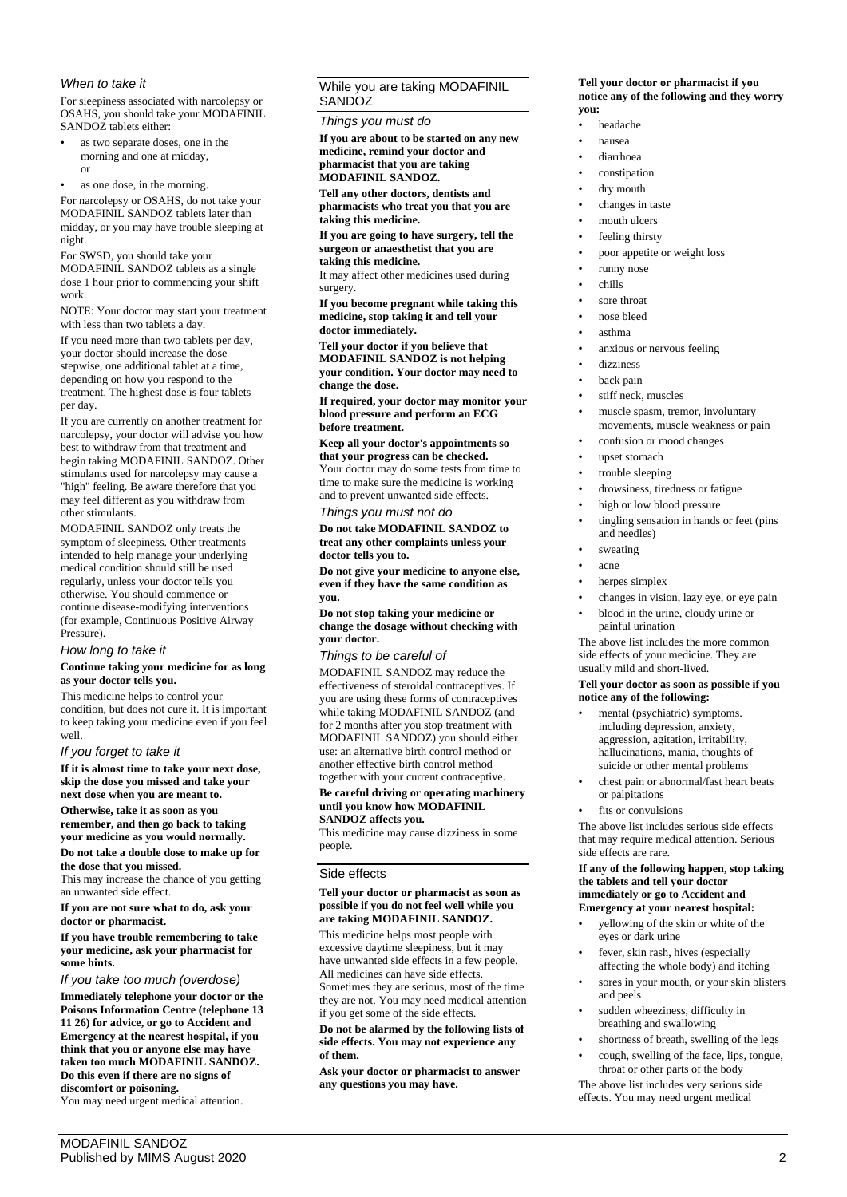# *When to take it*

For sleepiness associated with narcolepsy or OSAHS, you should take your MODAFINIL SANDOZ tablets either:

- as two separate doses, one in the morning and one at midday, or
- as one dose, in the morning.

For narcolepsy or OSAHS, do not take your MODAFINIL SANDOZ tablets later than midday, or you may have trouble sleeping at night.

For SWSD, you should take your

MODAFINIL SANDOZ tablets as a single dose 1 hour prior to commencing your shift work.

NOTE: Your doctor may start your treatment with less than two tablets a day.

If you need more than two tablets per day, your doctor should increase the dose stepwise, one additional tablet at a time, depending on how you respond to the treatment. The highest dose is four tablets per day.

If you are currently on another treatment for narcolepsy, your doctor will advise you how best to withdraw from that treatment and begin taking MODAFINIL SANDOZ. Other stimulants used for narcolepsy may cause a "high" feeling. Be aware therefore that you may feel different as you withdraw from other stimulants.

MODAFINIL SANDOZ only treats the symptom of sleepiness. Other treatments intended to help manage your underlying medical condition should still be used regularly, unless your doctor tells you otherwise. You should commence or continue disease-modifying interventions (for example, Continuous Positive Airway Pressure).

## *How long to take it*

## **Continue taking your medicine for as long as your doctor tells you.**

This medicine helps to control your condition, but does not cure it. It is important to keep taking your medicine even if you feel well.

# *If you forget to take it*

**If it is almost time to take your next dose, skip the dose you missed and take your next dose when you are meant to.**

**Otherwise, take it as soon as you remember, and then go back to taking your medicine as you would normally.**

**Do not take a double dose to make up for the dose that you missed.** 

This may increase the chance of you getting an unwanted side effect.

**If you are not sure what to do, ask your doctor or pharmacist.**

**If you have trouble remembering to take your medicine, ask your pharmacist for some hints.**

# *If you take too much (overdose)*

**Immediately telephone your doctor or the Poisons Information Centre (telephone 13 11 26) for advice, or go to Accident and Emergency at the nearest hospital, if you think that you or anyone else may have taken too much MODAFINIL SANDOZ. Do this even if there are no signs of discomfort or poisoning.**

You may need urgent medical attention.

# While you are taking MODAFINIL SANDOZ

*Things you must do*

**If you are about to be started on any new medicine, remind your doctor and pharmacist that you are taking MODAFINIL SANDOZ.**

**Tell any other doctors, dentists and pharmacists who treat you that you are taking this medicine.**

**If you are going to have surgery, tell the surgeon or anaesthetist that you are taking this medicine.**

It may affect other medicines used during surgery.

**If you become pregnant while taking this medicine, stop taking it and tell your doctor immediately.**

**Tell your doctor if you believe that MODAFINIL SANDOZ is not helping your condition. Your doctor may need to change the dose.**

**If required, your doctor may monitor your blood pressure and perform an ECG before treatment.**

**Keep all your doctor's appointments so that your progress can be checked.** Your doctor may do some tests from time to time to make sure the medicine is working and to prevent unwanted side effects.

# *Things you must not do*

**Do not take MODAFINIL SANDOZ to treat any other complaints unless your doctor tells you to.**

**Do not give your medicine to anyone else, even if they have the same condition as you.**

**Do not stop taking your medicine or change the dosage without checking with your doctor.**

## *Things to be careful of*

MODAFINIL SANDOZ may reduce the effectiveness of steroidal contraceptives. If you are using these forms of contraceptives while taking MODAFINIL SANDOZ (and for 2 months after you stop treatment with MODAFINIL SANDOZ) you should either use: an alternative birth control method or another effective birth control method together with your current contraceptive.

#### **Be careful driving or operating machinery until you know how MODAFINIL SANDOZ affects you.**

This medicine may cause dizziness in some people.

## Side effects

### **Tell your doctor or pharmacist as soon as possible if you do not feel well while you are taking MODAFINIL SANDOZ.**

This medicine helps most people with excessive daytime sleepiness, but it may have unwanted side effects in a few people. All medicines can have side effects. Sometimes they are serious, most of the time they are not. You may need medical attention if you get some of the side effects.

**Do not be alarmed by the following lists of side effects. You may not experience any of them.**

**Ask your doctor or pharmacist to answer any questions you may have.**

### **Tell your doctor or pharmacist if you notice any of the following and they worry you:**

- headache
- nausea
	- diarrhoea
	- constipation
- dry mouth
- changes in taste
- mouth ulcers
- feeling thirsty
- poor appetite or weight loss
- runny nose
- chills
- sore throat
- nose bleed
- asthma
- anxious or nervous feeling
- dizziness
- back pain
- stiff neck, muscles
- muscle spasm, tremor, involuntary movements, muscle weakness or pain
- confusion or mood changes
- upset stomach
- trouble sleeping
- drowsiness, tiredness or fatigue
- high or low blood pressure
- tingling sensation in hands or feet (pins and needles)
- sweating
- acne
- herpes simplex
- changes in vision, lazy eye, or eye pain
- blood in the urine, cloudy urine or painful urination

The above list includes the more common side effects of your medicine. They are usually mild and short-lived.

#### **Tell your doctor as soon as possible if you notice any of the following:**

- mental (psychiatric) symptoms. including depression, anxiety, aggression, agitation, irritability, hallucinations, mania, thoughts of suicide or other mental problems
- chest pain or abnormal/fast heart beats or palpitations
- fits or convulsions

The above list includes serious side effects that may require medical attention. Serious side effects are rare.

#### **If any of the following happen, stop taking the tablets and tell your doctor immediately or go to Accident and Emergency at your nearest hospital:**

- yellowing of the skin or white of the eyes or dark urine
- fever, skin rash, hives (especially affecting the whole body) and itching
- sores in your mouth, or your skin blisters and peels
- sudden wheeziness, difficulty in breathing and swallowing
- shortness of breath, swelling of the legs
- cough, swelling of the face, lips, tongue, throat or other parts of the body

The above list includes very serious side effects. You may need urgent medical